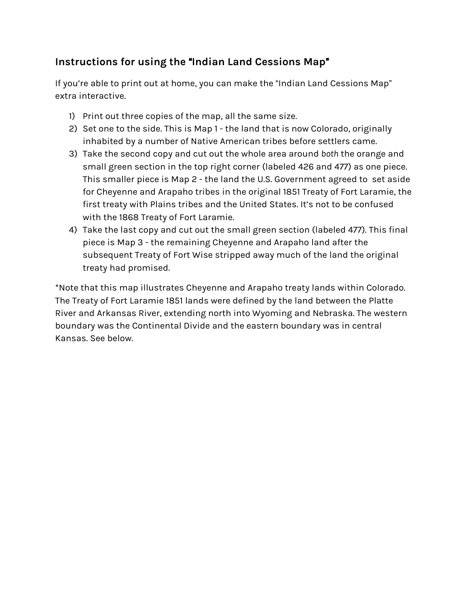## **Instructions for using the** "**Indian Land Cessions Map**"

If you're able to print out at home, you can make the "Indian Land Cessions Map" extra interactive.

- 1) Print out three copies of the map, all the same size.
- 2) Set one to the side. This is Map 1 the land that is now Colorado, originally inhabited by a number of Native American tribes before settlers came.
- 3) Take the second copy and cut out the whole area around *both* the orange and small green section in the top right corner (labeled 426 and 477) as one piece. This smaller piece is Map 2 - the land the U.S. Government agreed to set aside for Cheyenne and Arapaho tribes in the original 1851 Treaty of Fort Laramie, the first treaty with Plains tribes and the United States. It's not to be confused with the 1868 Treaty of Fort Laramie.
- 4) Take the last copy and cut out the small green section (labeled 477). This final piece is Map 3 - the remaining Cheyenne and Arapaho land after the subsequent Treaty of Fort Wise stripped away much of the land the original treaty had promised.

\*Note that this map illustrates Cheyenne and Arapaho treaty lands within Colorado. The Treaty of Fort Laramie 1851 lands were defined by the land between the Platte River and Arkansas River, extending north into Wyoming and Nebraska. The western boundary was the Continental Divide and the eastern boundary was in central Kansas. See below.